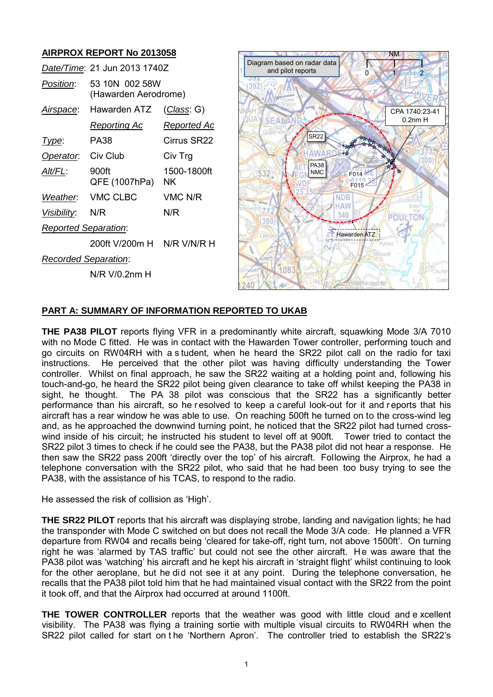# **AIRPROX REPORT No 2013058**

|                             | Date/Time: 21 Jun 2013 1740Z           |                    |
|-----------------------------|----------------------------------------|--------------------|
| <i>Position:</i>            | 53 10N 002 58W<br>(Hawarden Aerodrome) |                    |
| <u>Airspace:</u>            | Hawarden ATZ                           | <u>(Class</u> : G) |
|                             | <u>Reporting Ac</u>                    | <u>Reported Ac</u> |
| <u> I ype:</u>              | PA38                                   | Cirrus SR22        |
| Operator.                   | Civ Club                               | Civ Trg            |
| <u>Alt/FL:</u>              | 900ft<br>QFE (1007hPa)                 | 1500-1800ft<br>ΝK  |
| Weather.                    | VMC CLBC                               | VMC N/R            |
| <i>Visibility:</i>          | N/R                                    | N/R                |
| <b>Reported Separation:</b> |                                        |                    |
|                             | 200ft V/200m H N/R V/N/R H             |                    |
| Recorded Separation:        |                                        |                    |
|                             | N/R V/0.2nm H                          |                    |



## **PART A: SUMMARY OF INFORMATION REPORTED TO UKAB**

**THE PA38 PILOT** reports flying VFR in a predominantly white aircraft, squawking Mode 3/A 7010 with no Mode C fitted. He was in contact with the Hawarden Tower controller, performing touch and go circuits on RW04RH with a s tudent, when he heard the SR22 pilot call on the radio for taxi instructions. He perceived that the other pilot was having difficulty understanding the Tower controller. Whilst on final approach, he saw the SR22 waiting at a holding point and, following his touch-and-go, he heard the SR22 pilot being given clearance to take off whilst keeping the PA38 in sight, he thought. The PA 38 pilot was conscious that the SR22 has a significantly better performance than his aircraft, so he r esolved to keep a c areful look-out for it and r eports that his aircraft has a rear window he was able to use. On reaching 500ft he turned on to the cross-wind leg and, as he approached the downwind turning point, he noticed that the SR22 pilot had turned crosswind inside of his circuit; he instructed his student to level off at 900ft. Tower tried to contact the SR22 pilot 3 times to check if he could see the PA38, but the PA38 pilot did not hear a response. He then saw the SR22 pass 200ft 'directly over the top' of his aircraft. Following the Airprox, he had a telephone conversation with the SR22 pilot, who said that he had been too busy trying to see the PA38, with the assistance of his TCAS, to respond to the radio.

He assessed the risk of collision as 'High'.

**THE SR22 PILOT** reports that his aircraft was displaying strobe, landing and navigation lights; he had the transponder with Mode C switched on but does not recall the Mode 3/A code. He planned a VFR departure from RW04 and recalls being 'cleared for take-off, right turn, not above 1500ft'. On turning right he was 'alarmed by TAS traffic' but could not see the other aircraft. He was aware that the PA38 pilot was 'watching' his aircraft and he kept his aircraft in 'straight flight' whilst continuing to look for the other aeroplane, but he did not see it at any point. During the telephone conversation, he recalls that the PA38 pilot told him that he had maintained visual contact with the SR22 from the point it took off, and that the Airprox had occurred at around 1100ft.

**THE TOWER CONTROLLER** reports that the weather was good with little cloud and e xcellent visibility. The PA38 was flying a training sortie with multiple visual circuits to RW04RH when the SR22 pilot called for start on t he 'Northern Apron'. The controller tried to establish the SR22's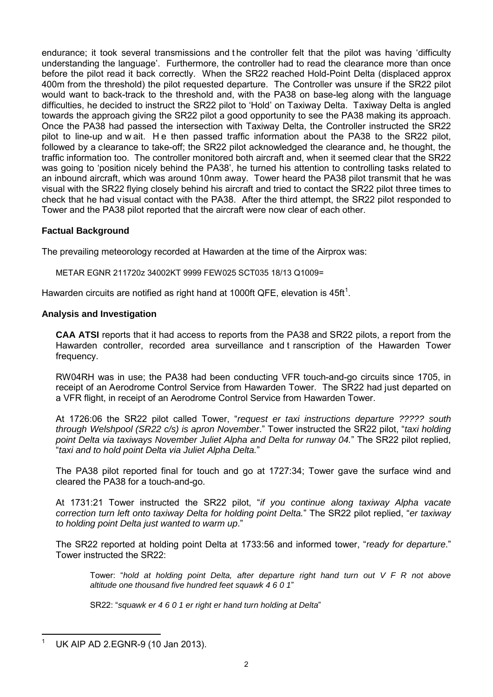endurance; it took several transmissions and t he controller felt that the pilot was having 'difficulty understanding the language'. Furthermore, the controller had to read the clearance more than once before the pilot read it back correctly. When the SR22 reached Hold-Point Delta (displaced approx 400m from the threshold) the pilot requested departure. The Controller was unsure if the SR22 pilot would want to back-track to the threshold and, with the PA38 on base-leg along with the language difficulties, he decided to instruct the SR22 pilot to 'Hold' on Taxiway Delta. Taxiway Delta is angled towards the approach giving the SR22 pilot a good opportunity to see the PA38 making its approach. Once the PA38 had passed the intersection with Taxiway Delta, the Controller instructed the SR22 pilot to line-up and w ait. He then passed traffic information about the PA38 to the SR22 pilot, followed by a clearance to take-off; the SR22 pilot acknowledged the clearance and, he thought, the traffic information too. The controller monitored both aircraft and, when it seemed clear that the SR22 was going to 'position nicely behind the PA38', he turned his attention to controlling tasks related to an inbound aircraft, which was around 10nm away. Tower heard the PA38 pilot transmit that he was visual with the SR22 flying closely behind his aircraft and tried to contact the SR22 pilot three times to check that he had visual contact with the PA38. After the third attempt, the SR22 pilot responded to Tower and the PA38 pilot reported that the aircraft were now clear of each other.

# **Factual Background**

The prevailing meteorology recorded at Hawarden at the time of the Airprox was:

METAR EGNR 211720z 34002KT 9999 FEW025 SCT035 18/13 Q1009=

Hawarden circuits are notified as right hand at [1](#page-1-0)000ft QFE, elevation is 45ft<sup>1</sup>.

### **Analysis and Investigation**

**CAA ATSI** reports that it had access to reports from the PA38 and SR22 pilots, a report from the Hawarden controller, recorded area surveillance and t ranscription of the Hawarden Tower frequency.

 RW04RH was in use; the PA38 had been conducting VFR touch-and-go circuits since 1705, in receipt of an Aerodrome Control Service from Hawarden Tower. The SR22 had just departed on a VFR flight, in receipt of an Aerodrome Control Service from Hawarden Tower.

At 1726:06 the SR22 pilot called Tower, "*request er taxi instructions departure ????? south through Welshpool (SR22 c/s) is apron November*." Tower instructed the SR22 pilot, "*taxi holding point Delta via taxiways November Juliet Alpha and Delta for runway 04.*" The SR22 pilot replied, "*taxi and to hold point Delta via Juliet Alpha Delta.*"

The PA38 pilot reported final for touch and go at 1727:34; Tower gave the surface wind and cleared the PA38 for a touch-and-go.

At 1731:21 Tower instructed the SR22 pilot, "*if you continue along taxiway Alpha vacate correction turn left onto taxiway Delta for holding point Delta.*" The SR22 pilot replied, "*er taxiway to holding point Delta just wanted to warm up*."

The SR22 reported at holding point Delta at 1733:56 and informed tower, "*ready for departure*." Tower instructed the SR22:

 Tower: "*hold at holding point Delta, after departure right hand turn out V F R not above altitude one thousand five hundred feet squawk 4 6 0 1*"

SR22: "*squawk er 4 6 0 1 er right er hand turn holding at Delta*"

<span id="page-1-0"></span> $\overline{\phantom{a}}$ 1

UK AIP AD 2.EGNR-9 (10 Jan 2013).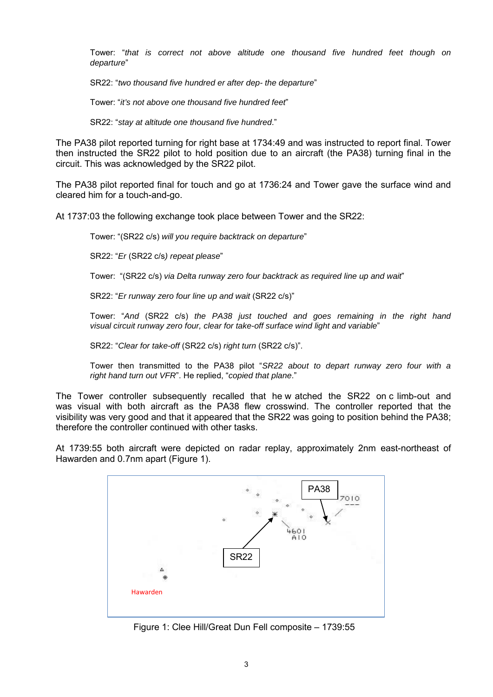Tower: "*that is correct not above altitude one thousand five hundred feet though on departure*"

SR22: "*two thousand five hundred er after dep- the departure*"

Tower: "*it's not above one thousand five hundred feet*"

SR22: "*stay at altitude one thousand five hundred*."

The PA38 pilot reported turning for right base at 1734:49 and was instructed to report final. Tower then instructed the SR22 pilot to hold position due to an aircraft (the PA38) turning final in the circuit. This was acknowledged by the SR22 pilot.

The PA38 pilot reported final for touch and go at 1736:24 and Tower gave the surface wind and cleared him for a touch-and-go.

At 1737:03 the following exchange took place between Tower and the SR22:

Tower: "(SR22 c/s) *will you require backtrack on departure*"

SR22: "*Er* (SR22 c/s*) repeat please*"

Tower: "(SR22 c/s) *via Delta runway zero four backtrack as required line up and wait*"

SR22: "*Er runway zero four line up and wait* (SR22 c/s)"

 Tower: "*And* (SR22 c/s) *the PA38 just touched and goes remaining in the right hand visual circuit runway zero four, clear for take-off surface wind light and variable*"

SR22: "*Clear for take-off* (SR22 c/s) *right turn* (SR22 c/s)".

 Tower then transmitted to the PA38 pilot "*SR22 about to depart runway zero four with a right hand turn out VFR*". He replied, "*copied that plane*."

The Tower controller subsequently recalled that he w atched the SR22 on c limb-out and was visual with both aircraft as the PA38 flew crosswind. The controller reported that the visibility was very good and that it appeared that the SR22 was going to position behind the PA38; therefore the controller continued with other tasks.

At 1739:55 both aircraft were depicted on radar replay, approximately 2nm east-northeast of Hawarden and 0.7nm apart (Figure 1).



Figure 1: Clee Hill/Great Dun Fell composite – 1739:55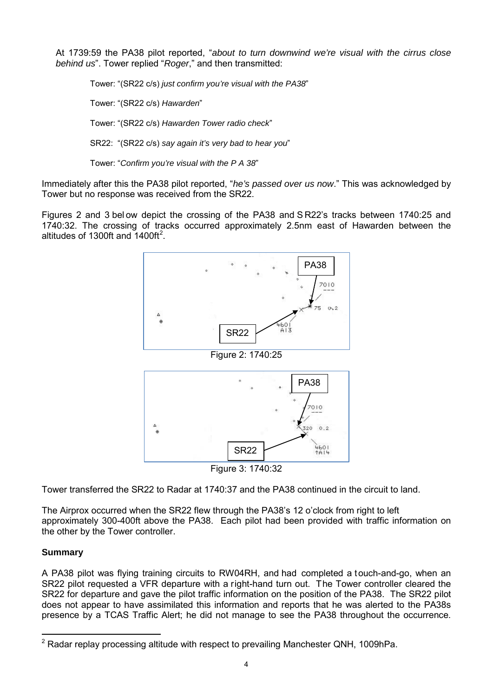At 1739:59 the PA38 pilot reported, "*about to turn downwind we're visual with the cirrus close behind us*". Tower replied "*Roger*," and then transmitted:

 Tower: "(SR22 c/s) *just confirm you're visual with the PA38*" Tower: "(SR22 c/s) *Hawarden*" Tower: "(SR22 c/s) *Hawarden Tower radio check*" SR22: "(SR22 c/s) *say again it's very bad to hear you*"

Tower: "*Confirm you're visual with the P A 38*"

Immediately after this the PA38 pilot reported, "*he's passed over us now*." This was acknowledged by Tower but no response was received from the SR22.

Figures 2 and 3 below depict the crossing of the PA38 and S R22's tracks between 1740:25 and 1740:32. The crossing of tracks occurred approximately 2.5nm east of Hawarden between the altitudes of 1300ft and  $1400 \text{ft}^2$  $1400 \text{ft}^2$ .



Tower transferred the SR22 to Radar at 1740:37 and the PA38 continued in the circuit to land.

The Airprox occurred when the SR22 flew through the PA38's 12 o'clock from right to left approximately 300-400ft above the PA38. Each pilot had been provided with traffic information on the other by the Tower controller.

## **Summary**

A PA38 pilot was flying training circuits to RW04RH, and had completed a touch-and-go, when an SR22 pilot requested a VFR departure with a right-hand turn out. The Tower controller cleared the SR22 for departure and gave the pilot traffic information on the position of the PA38. The SR22 pilot does not appear to have assimilated this information and reports that he was alerted to the PA38s presence by a TCAS Traffic Alert; he did not manage to see the PA38 throughout the occurrence.

<span id="page-3-0"></span> $\overline{\phantom{a}}$  $2$  Radar replay processing altitude with respect to prevailing Manchester QNH, 1009hPa.